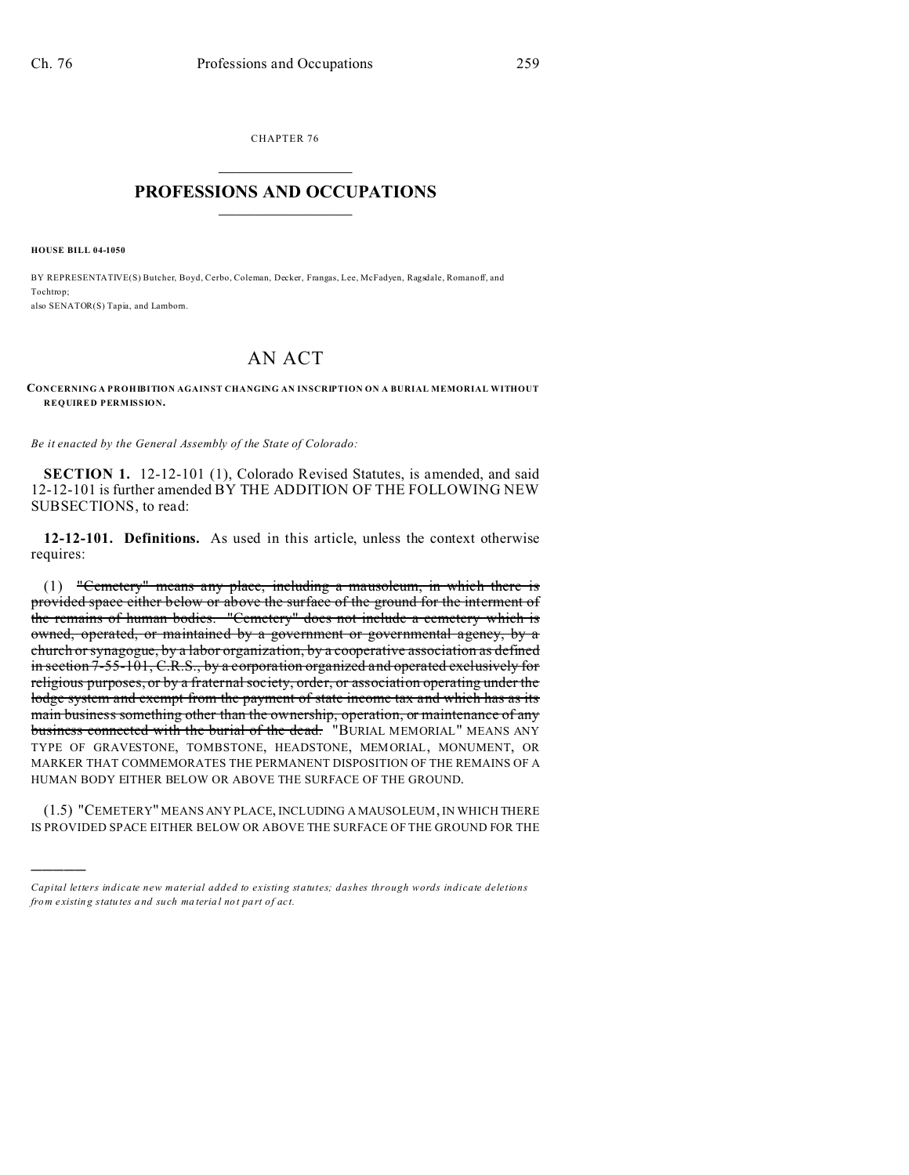CHAPTER 76  $\overline{\phantom{a}}$  , where  $\overline{\phantom{a}}$ 

## **PROFESSIONS AND OCCUPATIONS**  $\frac{1}{2}$  ,  $\frac{1}{2}$  ,  $\frac{1}{2}$  ,  $\frac{1}{2}$  ,  $\frac{1}{2}$  ,  $\frac{1}{2}$  ,  $\frac{1}{2}$

**HOUSE BILL 04-1050**

)))))

BY REPRESENTATIVE(S) Butcher, Boyd, Cerbo, Coleman, Decker, Frangas, Lee, McFadyen, Ragsdale, Romanoff, and Tochtrop; also SENATOR(S) Tapia, and Lamborn.

## AN ACT

**CONCERNING A PROHIBITION AGAINST CHANGING AN INSCRIPTION ON A BURIAL MEMORIAL WITHOUT REQUIRED PERMISSION.**

*Be it enacted by the General Assembly of the State of Colorado:*

**SECTION 1.** 12-12-101 (1), Colorado Revised Statutes, is amended, and said 12-12-101 is further amended BY THE ADDITION OF THE FOLLOWING NEW SUBSECTIONS, to read:

**12-12-101. Definitions.** As used in this article, unless the context otherwise requires:

(1) "Cemetery" means any place, including a mausoleum, in which there is provided space either below or above the surface of the ground for the interment of the remains of human bodies. "Cemetery" does not include a cemetery which is owned, operated, or maintained by a government or governmental agency, by a church or synagogue, by a labor organization, by a cooperative association as defined in section 7-55-101, C.R.S., by a corporation organized and operated exclusively for religious purposes, or by a fraternal society, order, or association operating under the lodge system and exempt from the payment of state income tax and which has as its main business something other than the ownership, operation, or maintenance of any business connected with the burial of the dead. "BURIAL MEMORIAL" MEANS ANY TYPE OF GRAVESTONE, TOMBSTONE, HEADSTONE, MEMORIAL, MONUMENT, OR MARKER THAT COMMEMORATES THE PERMANENT DISPOSITION OF THE REMAINS OF A HUMAN BODY EITHER BELOW OR ABOVE THE SURFACE OF THE GROUND.

(1.5) "CEMETERY" MEANS ANY PLACE, INCLUDING A MAUSOLEUM, IN WHICH THERE IS PROVIDED SPACE EITHER BELOW OR ABOVE THE SURFACE OF THE GROUND FOR THE

*Capital letters indicate new material added to existing statutes; dashes through words indicate deletions from e xistin g statu tes a nd such ma teria l no t pa rt of ac t.*